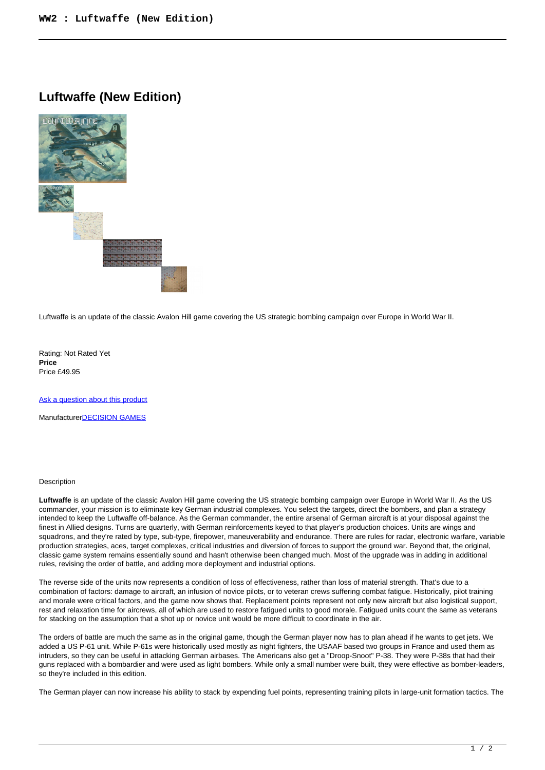## **Luftwaffe (New Edition)**



Luftwaffe is an update of the classic Avalon Hill game covering the US strategic bombing campaign over Europe in World War II.

Rating: Not Rated Yet **Price**  Price £49.95

[Ask a question about this product](https://www.secondchancegames.com/index.php?option=com_virtuemart&view=productdetails&task=askquestion&virtuemart_product_id=7880&virtuemart_category_id=5&tmpl=component)

Manufacturer[DECISION GAMES](https://www.secondchancegames.com/index.php?option=com_virtuemart&view=manufacturer&virtuemart_manufacturer_id=2513&tmpl=component)

## **Description**

**Luftwaffe** is an update of the classic Avalon Hill game covering the US strategic bombing campaign over Europe in World War II. As the US commander, your mission is to eliminate key German industrial complexes. You select the targets, direct the bombers, and plan a strategy intended to keep the Luftwaffe off-balance. As the German commander, the entire arsenal of German aircraft is at your disposal against the finest in Allied designs. Turns are quarterly, with German reinforcements keyed to that player's production choices. Units are wings and squadrons, and they're rated by type, sub-type, firepower, maneuverability and endurance. There are rules for radar, electronic warfare, variable production strategies, aces, target complexes, critical industries and diversion of forces to support the ground war. Beyond that, the original, classic game system remains essentially sound and hasn't otherwise been changed much. Most of the upgrade was in adding in additional rules, revising the order of battle, and adding more deployment and industrial options.

The reverse side of the units now represents a condition of loss of effectiveness, rather than loss of material strength. That's due to a combination of factors: damage to aircraft, an infusion of novice pilots, or to veteran crews suffering combat fatigue. Historically, pilot training and morale were critical factors, and the game now shows that. Replacement points represent not only new aircraft but also logistical support, rest and relaxation time for aircrews, all of which are used to restore fatigued units to good morale. Fatigued units count the same as veterans for stacking on the assumption that a shot up or novice unit would be more difficult to coordinate in the air.

The orders of battle are much the same as in the original game, though the German player now has to plan ahead if he wants to get jets. We added a US P-61 unit. While P-61s were historically used mostly as night fighters, the USAAF based two groups in France and used them as intruders, so they can be useful in attacking German airbases. The Americans also get a "Droop-Snoot" P-38. They were P-38s that had their guns replaced with a bombardier and were used as light bombers. While only a small number were built, they were effective as bomber-leaders, so they're included in this edition.

The German player can now increase his ability to stack by expending fuel points, representing training pilots in large-unit formation tactics. The